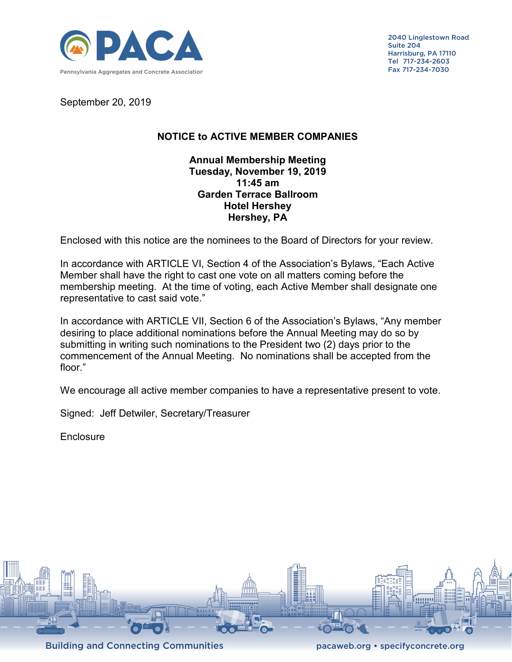

2040 Linglestown Road Suite 204 Harrisburg, PA 17110 Tel 717-234-2603 Fax 717-234-7030

September 20, 2019

## **NOTICE to ACTIVE MEMBER COMPANIES**

## **Annual Membership Meeting Tuesday, November 19, 2019 11:45 am Garden Terrace Ballroom Hotel Hershey Hershey, PA**

Enclosed with this notice are the nominees to the Board of Directors for your review.

In accordance with ARTICLE VI, Section 4 of the Association's Bylaws, "Each Active Member shall have the right to cast one vote on all matters coming before the membership meeting. At the time of voting, each Active Member shall designate one representative to cast said vote."

In accordance with ARTICLE VII, Section 6 of the Association's Bylaws, "Any member desiring to place additional nominations before the Annual Meeting may do so by submitting in writing such nominations to the President two (2) days prior to the commencement of the Annual Meeting. No nominations shall be accepted from the floor."

We encourage all active member companies to have a representative present to vote.

Signed: Jeff Detwiler, Secretary/Treasurer

**Enclosure**